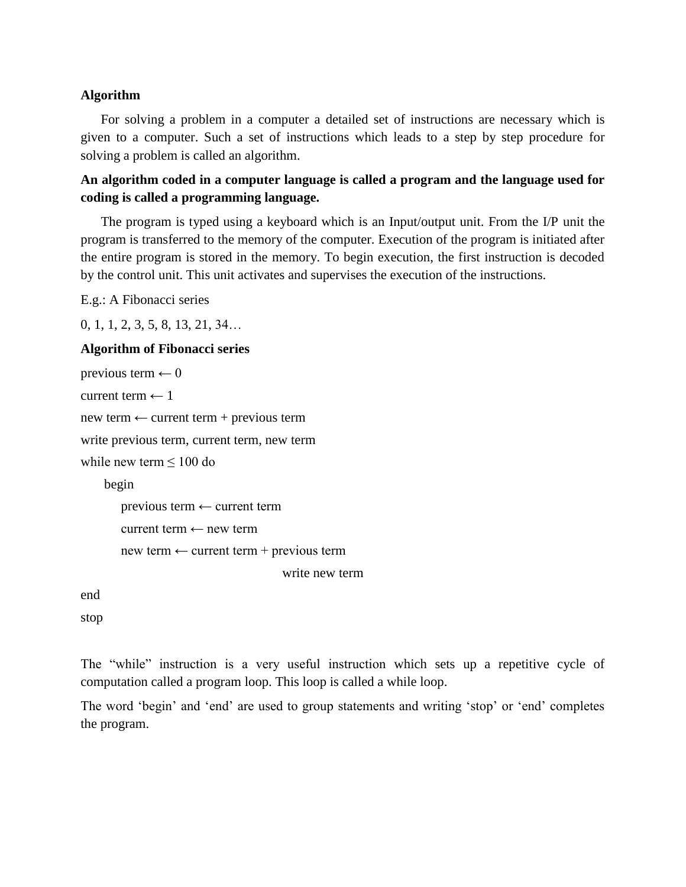### **Algorithm**

For solving a problem in a computer a detailed set of instructions are necessary which is given to a computer. Such a set of instructions which leads to a step by step procedure for solving a problem is called an algorithm.

**An algorithm coded in a computer language is called a program and the language used for coding is called a programming language.**

The program is typed using a keyboard which is an Input/output unit. From the I/P unit the program is transferred to the memory of the computer. Execution of the program is initiated after the entire program is stored in the memory. To begin execution, the first instruction is decoded by the control unit. This unit activates and supervises the execution of the instructions.

E.g.: A Fibonacci series

0, 1, 1, 2, 3, 5, 8, 13, 21, 34…

#### **Algorithm of Fibonacci series**

```
previous term \leftarrow 0current term \leftarrow 1
new term \leftarrow current term + previous term
write previous term, current term, new term
while new term \leq 100 do
     begin
        previous term \leftarrow current term
        current term ← new term
        new term \leftarrow current term + previous term
                                          write new term
end
```
stop

The "while" instruction is a very useful instruction which sets up a repetitive cycle of computation called a program loop. This loop is called a while loop.

The word 'begin' and 'end' are used to group statements and writing 'stop' or 'end' completes the program.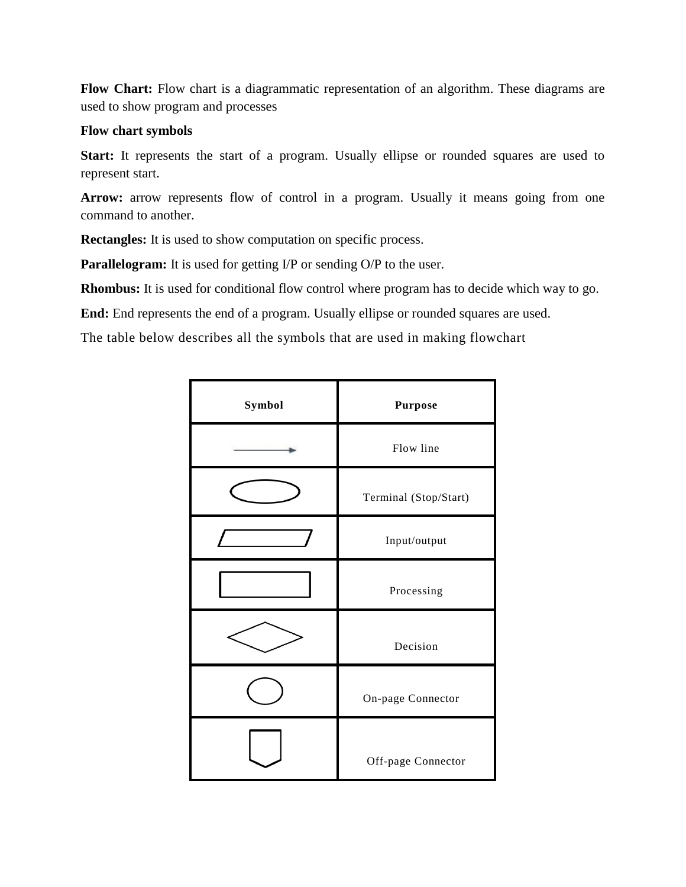**Flow Chart:** Flow chart is a diagrammatic representation of an algorithm. These diagrams are used to show program and processes

#### **Flow chart symbols**

Start: It represents the start of a program. Usually ellipse or rounded squares are used to represent start.

Arrow: arrow represents flow of control in a program. Usually it means going from one command to another.

**Rectangles:** It is used to show computation on specific process.

**Parallelogram:** It is used for getting I/P or sending O/P to the user.

**Rhombus:** It is used for conditional flow control where program has to decide which way to go.

**End:** End represents the end of a program. Usually ellipse or rounded squares are used.

The table below describes all the symbols that are used in making flowchart

| Symbol | <b>Purpose</b>        |
|--------|-----------------------|
|        | Flow line             |
|        | Terminal (Stop/Start) |
|        | Input/output          |
|        | Processing            |
|        | Decision              |
|        | On-page Connector     |
|        | Off-page Connector    |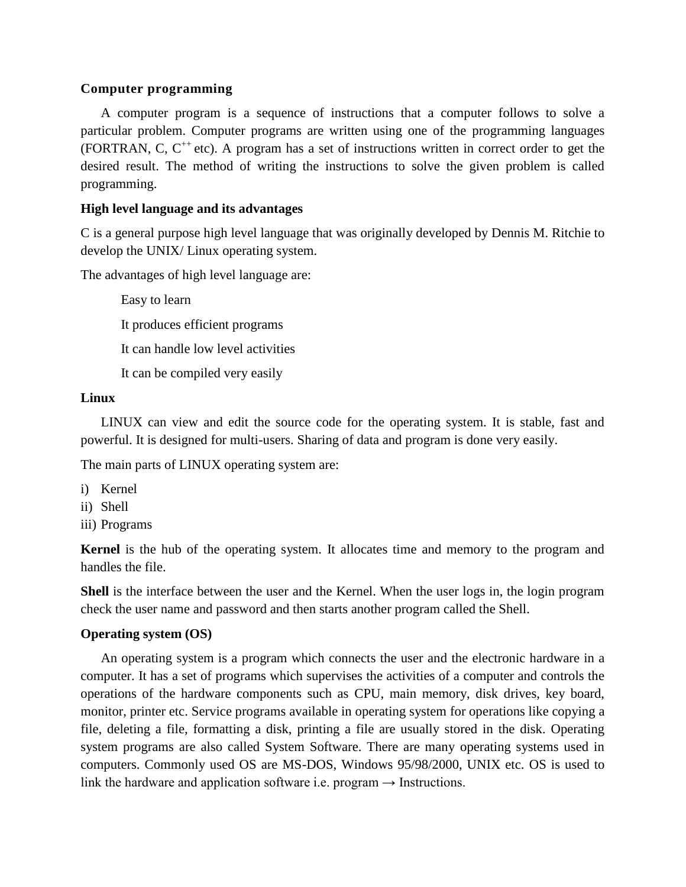#### **Computer programming**

A computer program is a sequence of instructions that a computer follows to solve a particular problem. Computer programs are written using one of the programming languages (FORTRAN, C,  $C^{++}$  etc). A program has a set of instructions written in correct order to get the desired result. The method of writing the instructions to solve the given problem is called programming.

### **High level language and its advantages**

C is a general purpose high level language that was originally developed by Dennis M. Ritchie to develop the UNIX/ Linux operating system.

The advantages of high level language are:

Easy to learn It produces efficient programs It can handle low level activities It can be compiled very easily

### **Linux**

LINUX can view and edit the source code for the operating system. It is stable, fast and powerful. It is designed for multi-users. Sharing of data and program is done very easily.

The main parts of LINUX operating system are:

- i) Kernel
- ii) Shell
- iii) Programs

**Kernel** is the hub of the operating system. It allocates time and memory to the program and handles the file.

**Shell** is the interface between the user and the Kernel. When the user logs in, the login program check the user name and password and then starts another program called the Shell.

# **Operating system (OS)**

An operating system is a program which connects the user and the electronic hardware in a computer. It has a set of programs which supervises the activities of a computer and controls the operations of the hardware components such as CPU, main memory, disk drives, key board, monitor, printer etc. Service programs available in operating system for operations like copying a file, deleting a file, formatting a disk, printing a file are usually stored in the disk. Operating system programs are also called System Software. There are many operating systems used in computers. Commonly used OS are MS-DOS, Windows 95/98/2000, UNIX etc. OS is used to link the hardware and application software i.e. program  $\rightarrow$  Instructions.